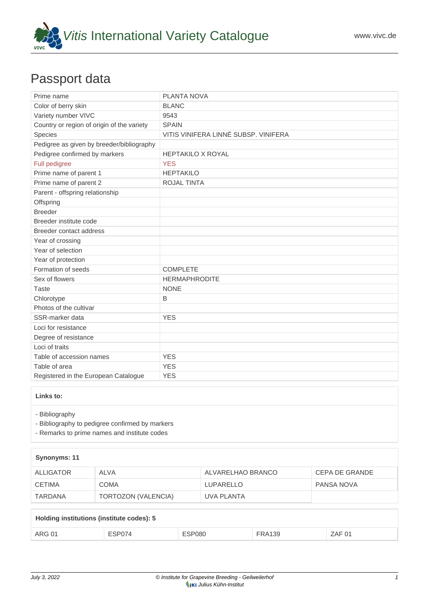

## Passport data

| Prime name                                 | PLANTA NOVA                          |
|--------------------------------------------|--------------------------------------|
| Color of berry skin                        | <b>BLANC</b>                         |
| Variety number VIVC                        | 9543                                 |
| Country or region of origin of the variety | <b>SPAIN</b>                         |
| Species                                    | VITIS VINIFERA LINNÉ SUBSP. VINIFERA |
| Pedigree as given by breeder/bibliography  |                                      |
| Pedigree confirmed by markers              | <b>HEPTAKILO X ROYAL</b>             |
| Full pedigree                              | <b>YES</b>                           |
| Prime name of parent 1                     | <b>HEPTAKILO</b>                     |
| Prime name of parent 2                     | <b>ROJAL TINTA</b>                   |
| Parent - offspring relationship            |                                      |
| Offspring                                  |                                      |
| <b>Breeder</b>                             |                                      |
| Breeder institute code                     |                                      |
| Breeder contact address                    |                                      |
| Year of crossing                           |                                      |
| Year of selection                          |                                      |
| Year of protection                         |                                      |
| Formation of seeds                         | <b>COMPLETE</b>                      |
| Sex of flowers                             | <b>HERMAPHRODITE</b>                 |
| <b>Taste</b>                               | <b>NONE</b>                          |
| Chlorotype                                 | B                                    |
| Photos of the cultivar                     |                                      |
| SSR-marker data                            | <b>YES</b>                           |
| Loci for resistance                        |                                      |
| Degree of resistance                       |                                      |
| Loci of traits                             |                                      |
| Table of accession names                   | <b>YES</b>                           |
| Table of area                              | <b>YES</b>                           |
| Registered in the European Catalogue       | <b>YES</b>                           |

## **Links to:**

- [Bibliography](https://www.vivc.de/index.php?r=literaturverweise%2Fbibliography&LiteraturverweiseSearch[kenn_nr2]=9543&LiteraturverweiseSearch[leitname2]=PLANTA NOVA)

- [Bibliography to pedigree confirmed by markers](https://www.vivc.de/index.php?var=9543&r=eva-analysis-mikrosatelliten-abstammungen%2Findex)

- [Remarks to prime names and institute codes](#page--1-0)

| Synonyms: 11  |                     |                   |                |  |  |
|---------------|---------------------|-------------------|----------------|--|--|
| ALLIGATOR     | ALVA                | ALVARELHAO BRANCO | CEPA DE GRANDE |  |  |
| <b>CETIMA</b> | <b>COMA</b>         | <b>LUPARELLO</b>  | PANSA NOVA     |  |  |
| TARDANA       | TORTOZON (VALENCIA) | UVA PLANTA        |                |  |  |

| Holding institutions (institute codes): 5 |        |               |               |        |  |  |
|-------------------------------------------|--------|---------------|---------------|--------|--|--|
| ARG 01                                    | ESP074 | <b>ESP080</b> | <b>FRA139</b> | ZAF 01 |  |  |